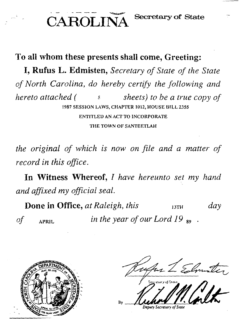CAROLINA Secretary of State

**To all whom these presents shall come, Greeting:**  I, **Rufus L. Edmisten,** *Secretary of State of the State of North Carolina, do hereby certify the following and hereto attached (* 5 *sheets) to be a true copy of*  1987 SESSION LAWS, CHAPTER 1012, HOUSE BILL 2355 ENTITLED AN ACT TO INCORPORATE THE TOWN OF SANTEETLAH

*the original of which is now on file and a matter of record in this office.* 

In Witness Whereof, *I have hereunto set my hand and affixed my official seal.* 

**Done in Office,** at Raleigh, this **BUTH** 13TH *day of* APRIL *in the year of our Lord 19* <sup>89</sup>



ustar 2 Elmoter. By \$~ *...* • • <sup>~</sup>

*Depwy Secretary of State*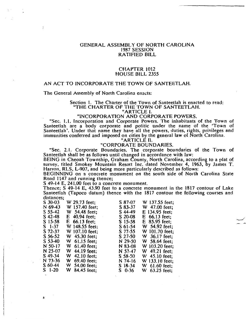#### GENERAL ASSEMBLY OF NORTH CAROLINA 1987 SESSION RATIFIED BILL

#### CHAPTER 1012 HOUSE BILL 2355

#### AN ACT TO INCORPORATE THE TOWN OF SANTEETLAH.

The General Assembly of North Carolina enacts:

#### Section l. The Charter of the Town of Santeetlah is enacted to read: "THE CHARTER OF THE TOWN OF SANTEETLAH.

#### "ARTICLE I.

### "INCORPORATION AND CORPORATE POWERS.

"Sec. 1.1. Incorporation and Corporate Powers. The inhabitants of the Town of Santeetlah are a body corporate and politic under the name of the 'Town of Santeetlah'. Under that name they have all the powers, duties, rights, privileges and immunities conferred and imposed on cities by the general law of North Carolina.

"ARTICLE IL

#### "CORPORATE BOUNDARIES.

"Sec. 2.1. Corporate Boundaries. The corporate boundaries of the Town of Santeetlah shall be as follows until changed in accordance with law:

BEING in Cheoah Township, Graham County, North Carolina, according to a plat of survey, titled Smokey Mountain Resort Inc. dated November 4, 1963, by James T. Harron, RLS, L-907, and being more particularly described as follows:

BEGINNING on a concrete monument on the south side of North Carolina State Road 1147 and running thence;

S 49-14 E, 241.00 feet to a concrete monument.

Thence; S 49-14 E, 43.90 feet to a concrete monument in the 1817 contour of Lake Santeetlah (Tapoco datum) thence with the 1817 contour the following courses and distances;

 $\overline{\phantom{a}}$ 

| $S$ 30-03 | W 29.73 feet;    | S 87-07   | W 137.55 feet;  |
|-----------|------------------|-----------|-----------------|
| N 69-43   | W 157.40 feet;   | $S83-37$  | W 47.00 feet;   |
| $S$ 55-42 | W 54.48 feet;    | $S$ 44-49 | E 134.95 feet;  |
| $S$ 42-48 | $E$ 40.94 feet;  | $S$ 20-08 | $E$ 66.13 feet; |
| $S$ 15-58 | $E$ 66.13 feet;  | $S$ 15-58 | $E$ 85.95 feet; |
| $S$ 1-37  | W 148.55 feet;   | $S$ 61-54 | W 54.92 feet;   |
| S 72-37   | W 107.10 feet:   | S 77-55   | W 101.70 feet;  |
| $S$ 56-52 | W 45.30 feet;    | $S$ 27-50 | W 36.17 feet:   |
| $S$ 53-40 | W 61.15 feet:    | N 29-50   | W 58.64 feet;   |
| $N$ 50-17 | $W$ 61.40 feet;  | N 83-08   | W 103.20 feet;  |
| N 25-07   | W 44.19 feet:    | N 57-47   | W 49.21 feet;   |
| S 49-34   | 42.10 feet;<br>W | $S$ 58-50 | W 45.10 feet:   |
| N 73-36   | W 69.40 feet;    | N 74-16   | W 133.10 feet:  |
| $S$ 60-44 | W 54.00 feet;    | $S$ 18-34 | W $61.60$ feet; |
| $S1-20$   | W 84.45 feet;    | $S$ 0-36  | W 63.25 feet:   |

I-

÷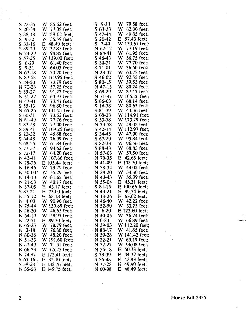| $S$ 22-35            | W 85.62 feet;                                                      | $S$ 9-33        | W 79.58 feet;      |  |
|----------------------|--------------------------------------------------------------------|-----------------|--------------------|--|
| $S$ 26-38            | W 77.05 feet;                                                      | $S$ 63-33       | W 62.30 feet;      |  |
| $S88-18$             | W 59-02 feet;                                                      | $S$ 47-44       | W 49.85 feet;      |  |
| $S$ 9-22             | W 35.59 feet;                                                      | $S$ 20-42       | E 57.43 feet;      |  |
| $S$ 32-16            | $E$ 48.40 feet;                                                    | $S \t 7-40$     | W 150.61 feet;     |  |
| S 89-29              | W 37.85 feet;                                                      | $N$ 62-12       | W 77.19 feet;      |  |
| N 24-29              | $W$ 98.85 feet;                                                    | N 84-41         | W 61.95 feet;      |  |
| $S$ 57-25            | W 139.00 feet;                                                     | $S$ 46-43       | W 56.75 feet;      |  |
| $S$ 6-29             | W 61.40 feet;                                                      | $S$ 30-21       | W 77.70 feet;      |  |
|                      | W 64.05 feet:                                                      | S 71-01         | W 36.50 feet;      |  |
| $S$ 9-31             |                                                                    | N 28-37         | W 63.75 feet;      |  |
| $N$ 67-18            | W 50.20 feet;                                                      |                 | W 92.55 feet;      |  |
| N 87-58              | W 169.95 feet;                                                     | $S$ 46-02       |                    |  |
| $S$ 24-50 $\cdot$    | $\mathbb{C}^{\times}$<br>W 73.79 feet;                             | $S$ 80-15       | W 39.53 feet;      |  |
| N 70-26              | W 57.25 feet;                                                      | N 47-13         | W 80.24 feet;      |  |
| $S$ 35-22            | W 91.27 feet;                                                      | $S$ 68-29       | W 37.17 feet;      |  |
| N 51-27              | W 63.97 feet;                                                      | N 71-47         | W 106.26 feet;     |  |
| N 47-41              | W 73.41 feet;                                                      | $S86-03$        | W 68.14 feet;      |  |
| $S$ 55-13            | W 96.80 feet;                                                      | $S$ 16-38       | W 80.65 feet;      |  |
| $N$ 65-25            | W 111.21 feet;                                                     | $S81-39$        | W 43.36 feet;      |  |
| $S$ 60-31            | W 73.62 feet;                                                      | $S$ 68-28       | W 114.91 feet;     |  |
| $N$ 81-49            | W 77.76 feet;                                                      | $S$ 53-58       | W 173.29 feet;     |  |
| $S$ 87-28            | W 77.00 feet;<br>$\sim$                                            | N 73-58         | W 48.02 feet;      |  |
| $S$ 89-41            | W $109.25$ feet;                                                   | $S$ 42-14       | W 112.97 feet;     |  |
| $S$ 22-32            | W 45.88 feet;                                                      | $S$ 34-45       | W 47.90 feet;      |  |
| $S$ 64-48            | W 76.99 feet;                                                      | $S$ 67-20       | W 95.84 feet;      |  |
| $S$ 68-25            | $W$ 61.84 feet;                                                    | $S$ 82-33       | W 96.56 feet;      |  |
| S 77-37              | W 94.62 feet;                                                      | S 88-43         | W 68.85 feet;      |  |
| $S$ 72-17            | W 64.20 feet;                                                      | $\sim$ N 57-03  | W 57.50 feet;      |  |
| $N$ 42-41            | W 107.66 feet;                                                     | N 70-35         | $E$ 42.65 feet;    |  |
| $N$ 78-26            | $E$ 105.44 feet;                                                   | $N$ 41-09       | $E$ 102.70 feet;   |  |
| $N16-46$             | W 79.29 feet;                                                      | $N$ 58-32       | W 44.02 feet;      |  |
| $N$ 50-00 $^{\circ}$ | W 55.29 feet;<br>$\mathbf{E}^{(1)}$ and $\mathbf{E}^{(2)}$         | N 29-20         | W 54.80 feet;      |  |
| $N$ 14-13            | W 81.65 feet;                                                      | $N$ 43-43       | W 55.39 feet;      |  |
| $N$ 21-53            | W 40.17 feet;                                                      | N 55-04         | E 45.31 feet;      |  |
| N 87-05              | $\mathcal{A}=\mathcal{A}$ , where $\mathcal{A}$<br>$E$ 43.17 feet; | $S_81-15$       | E 100.66 feet;     |  |
| $S85-21$             | E<br>73.00 feet;<br>$\sim 10^{-1}$                                 | $N$ 43-21       | $E$ 89.74 feet;    |  |
| $N$ 55-12            | $E$ 68.18 feet;                                                    | $N$ 18-26       | $63.62$ feet;<br>E |  |
| $N$ 4-03             | W 90.96 feet:                                                      | N 46-40         | W 42.22 feet;      |  |
| N 75-44              | W 139.88 feet;                                                     | $N$ 52-50       | W 33.23 feet;      |  |
| $N$ 26-30            | W 46.65 feet;                                                      | $N$ 6-20        | E 123.60 feet;     |  |
| $N$ 64-19            | W 58.95 feet;                                                      | $N$ 40-05       | W 36.74 feet;      |  |
| $N$ 22-51            | E 89.70 feet;                                                      | $N$ 0-23        | W 66.89 feet;      |  |
| $N$ 65-25            | W 78.79 feet;                                                      | N 39-03         | W 112.20 feet;     |  |
| $N$ 2-18             | 76.80 feet;<br>W                                                   | $\cdot$ N 88-17 | W 41.85 feet;      |  |
| N 80-26              | W 48.20 feet;<br>$\cdots$                                          | N 59-28         | W 141.43 feet;     |  |
| N 51-33              | W 191.60 feet;                                                     | $N$ 22-21       | W 69.19 feet;      |  |
| N 47-49              | W 71.31 feet;                                                      | N 72-27         | W 96.08 feet;      |  |
| $N$ 66-53            | W 65.25 feet;                                                      | N 56-18         | 50.33 feet;<br>E   |  |
| N 74.47              | E 172.41 feet;                                                     | S 78-39         | 34.32 feet;<br>E   |  |
| $S$ 65-16,           | $E$ 85.10 feet;                                                    | $S$ 56-48       | E<br>42.83 feet;   |  |
| $S$ 39-28            | E 185.76 feet;                                                     | N 77-28         | E<br>49.90 feet;   |  |
| $N$ 35-58            | $E$ 149.75 feet;                                                   | $N$ 60-08       | $E$ 48.49 feet;    |  |
|                      |                                                                    |                 |                    |  |

 $\bar{z}$ 

# 2 House Bill 2355

Ť,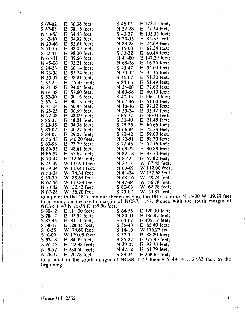| $S$ 69-02           | 36.38 feet;<br>E                            | $S$ 46-04            | E 173.15 feet;                                                                      |
|---------------------|---------------------------------------------|----------------------|-------------------------------------------------------------------------------------|
| $S$ 87-08           | E<br>38.16 feet;                            | N 22-28              | 77.34 feet;<br>E                                                                    |
| N 50-58             | E<br>34.43 feet:                            | $S$ 43-37            | E 133.35 feet;                                                                      |
| $S$ 82-40           | E<br>34.92 feet;                            | N 20-35              | E 85-87 feet;                                                                       |
| N 29-46             | 53.61 feet;<br>E                            | N 84-28              | E<br>24.69 feet;                                                                    |
| $S$ 53-53           | Е<br>38.09 feet;                            | $S$ 16-08            | E<br>$62.24$ feet;                                                                  |
| $S$ 22-31           | E<br>98.00 feet;                            | $S$ 53-22            | E<br>$60.44$ feet;                                                                  |
| N 67-31             | E<br>39.66 feet;                            | $N$ 41-00            | E 147.29 feet;                                                                      |
| N 45-06             | 33.21 feet;<br>E                            | $N$ 68-28            | 16.75 feet;<br>E                                                                    |
| $S$ 24-23           | E<br>$66.14$ feet;                          | $S$ 43-47            | E<br>55.60 feet;                                                                    |
| N 78-38             | E<br>53.74 feet;                            | N 53-32              | 92.45 feet;<br>E                                                                    |
| N 53-37             | E<br>98.01 feet;                            | $S$ 46-07            | E<br>51.30 feet;                                                                    |
| $S$ 37-26           | E 145.45 feet;                              | S 84-06              | E<br>51.49 feet;                                                                    |
|                     |                                             | N 34-08              | 77.62 feet;<br>E                                                                    |
| $N$ 31-48           | E<br>94.04 feet;                            | N 83-58              | $40.13$ feet;<br>E                                                                  |
| $N$ 61-38           | E<br>57.60 feet;                            | $S$ 40-13            | E 106.10 feet;                                                                      |
| $S$ 52-30           | E<br>$30.16$ feet;<br>E                     | N 67-46              | E<br>51.00 feet;                                                                    |
| $S$ 57-14           | 30.13 feet;                                 |                      | E 97.22 feet;                                                                       |
| N 31-04             | 50.85 feet;<br>E                            | $N$ 10-46<br>N 53-24 | 35.42 feet;<br>E                                                                    |
| N 25-25             | 36.59 feet;<br>E<br>E                       | S 85-37              | E<br>48-01 feet;                                                                    |
| N 72-08<br>$S85-37$ | 48.00 feet;<br>E<br>48.01 feet;             | $S$ 50-40            | E<br>21.48 feet;                                                                    |
| $S$ 23-35           | E<br>34.38 feet;                            | $S$ 28-25            | E<br>$66.66$ feet;                                                                  |
| S 83-07             | $40.27$ feet;<br>E                          | $N$ 66-04            | E<br>72.28 feet;                                                                    |
| S 84-07             | E<br>29.02 feet;                            | $S$ 70-42            | 59.60 feet;<br>E                                                                    |
| N 56-48             | $E$ 140.20 feet;                            | N 72-51              | E<br>58.20 feet;                                                                    |
|                     |                                             | $S$ 72-45            | 52.76 feet;<br>E                                                                    |
| $S$ 83-56           | 73.79 feet;<br>E                            |                      | 80.88 feet;                                                                         |
| N 89-55             | 48.61 feet;<br>E                            | $N$ 68-22            | E                                                                                   |
| N 86-57             | 55.62 feet;<br>E                            | $N$ 82-18            | E<br>93.53 feet;                                                                    |
| N 73-47             | E 112.60 feet;                              | $N8-42$              | 59.82 feet;<br>E                                                                    |
| N 41-49             | W 133.94 feet;                              | N 27-14              | W 87.45 feet;                                                                       |
| N 39-34             | W 113.40 feet;                              | N 63-09              | W 112.00 feet;                                                                      |
| N 50-24             | W 74.34 feet;                               | $N81-24$             | W 137.68 feet;                                                                      |
| S 89-39             | W 85.65 feet;<br>$\mathcal{L}$              | $N$ 68-16            | W 58.74 feet;                                                                       |
| $N$ 62-56           | W 119.89 feet;                              | $N$ 42-04            | W 56.78 feet;                                                                       |
| N 74-42             | W 52.42 feet;                               | $S$ 80-06            | W 62.78 feet;                                                                       |
| N 87-28             | W 56.20 feet;                               | S 73-02              | W 50.87 feet;                                                                       |
|                     |                                             |                      | to a point in the 1817 contour thence leaving the 1817 contour N 15-30 W 39.29 feet |
|                     |                                             |                      | to a point, on the south margin of NCSR 1147, thence with the south margin of       |
|                     | NCSR 1147 N 75-38 E 159.96 feet;            |                      |                                                                                     |
| $S$ 80-12           | E 111.00 feet;                              | $S$ 64-55            | $E$ 120.30 feet;                                                                    |
| $S$ 78-12           | E 93.92 feet;<br>$\mathcal{L}(\mathcal{A})$ | $N$ 80-31            | E 186.87 feet;                                                                      |
| $S$ 87-45           | $E$ 81.11 feet:                             | $S$ 64-07            | E 495.19 feet;                                                                      |

| to a point in the 1817 contour thence leaving the 1817 contour in 15-50 $\mu$ 59.29 rect |                                   |  |
|------------------------------------------------------------------------------------------|-----------------------------------|--|
| to a point, on the south margin of NCSR 1147, thence with the south margin of            |                                   |  |
| NCSR 1147 N 75-38 E 159.96 feet;                                                         |                                   |  |
| $C_1$ 00.12 $C_2$ 111.00 $f_{\text{out}}$                                                | $C_{AA}$ $55$ $C_{120}$ $10$ foot |  |

|         | $580 - 12$ E 111.00 feet;                                                                   | $504-33$      | $E$ 120.30 reet; |  |  |
|---------|---------------------------------------------------------------------------------------------|---------------|------------------|--|--|
|         | S 78-12 E 93.92 feet;                                                                       | N 80-31       | $E$ 186.87 feet; |  |  |
|         | S 87-45 E 81.11 feet;                                                                       | S 64-07       | $E$ 495.19 feet; |  |  |
| S 58-17 | E 128.85 feet;                                                                              | $S$ 35-43     | $E$ 85.80 feet;  |  |  |
|         | S 0-55 W 74.60 feet;                                                                        | $S$ 14-16     | W 176.27 feet;   |  |  |
| S 0-09  | W 120.08 feet;                                                                              | $S \, 37 - 5$ | $E$ 88.80 feet;  |  |  |
|         | S 57-18 E 84.39 feet;                                                                       | S 86-27       | $E$ 375.99 feet; |  |  |
| N 61-08 | E 122.88 feet;                                                                              | N 29-07       | $E$ 92.73 feet;  |  |  |
|         | N 9-52 E 280.50 feet;                                                                       | N 42-14       | $E$ 61.79 feet;  |  |  |
|         | N 76-37 E 70.28 feet;                                                                       | S 88-24       | $E$ 238.66 feet; |  |  |
|         | $\epsilon$ contact in the courts moved of NCCD 1147 thence $\epsilon$ 40.14 E 27.83 feet to |               |                  |  |  |

to a point in the south margin of NCSR beginning. 1147 thence S 49-14 E 27.83 feet; to the

 $\epsilon$ 

3

--:---::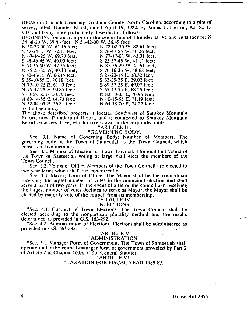BEING in Cheoah Township. Graham County, North Carolina. according to a plat of survey, titled Thunder Island, dated April 19, 1982, by James T. Herron, R.L.S., L-907, and being more particularly described as follows:

BEGINNING on an iron pin in the center line of Thunder Drive and runs thence; N 34-38-20 W. 39.86 feet; N 51-42-00 W, 56.49 feet;

S 40-46-15 W, 66.15 feet; S 27-20-15 E, 38.32 feet; S 55-10-55 E, 26.18 feet; S 83-39-25 E, 39.02 feet; N 79-10-25 E, 61.43 feet; S 89-57-35 E, 49.07 feet; N 75-47-25 E, 90.85 feet; S 55-47-55 E, 68.25 feet; S 64-58-55 E, 54.76 feet; N 82-10-35 E, 70.95 feet; N 89-14-55 E, 61.73 feet; N 40-15-55 E, 71.19 feet; N 52-04-05 E, 36.81 feet; N 65-58-20 E, 74.27 feet;

N 58-33-00 W, 62.16 feet; N 72-02-50 W, 82.61 feet; S 42-24-15 W, 72.11 feet; S 78-47-55 W, 40.26 feet; N 69-46-25 W, 69.70 feet; N 77-17-08 W, 43.31 feet; S 48-46-45 W, 40.00 feet;<br>S 69-36-50 W, 47.55 feet; N 87-56-20 W, 41.61 feet;  $\sim$  N 87-56-20 W, 41.61 feet; N 75-25-30 W, 40.18 feet; S 70-16-25 W, 48.68 feet;

to the beginning.

The above described property is located Southwest of Smokey Mountain Resort, now Thunderbird Resort, and is connected to Smokey Mountain Resort by access drive, which drive is also in the corporate limits.

"ARTICLE Ill.

#### "GOVERNING BODY.

"Sec. 3.1. Name of Governing· Body; Number of Members. The governing body of the Town of Santeetlah is the Town Council, which consists of five members.

"Sec. 3.2. Manner of Election of Town Council. The qualified voters of the Town of Santeetlah voting at large shall elect the members of the Town Council.

"Sec. 3.3. Terms of Office. Members of the Town Council are elected to two-year terms which shall run concurrently.

"Sec. 3.4. Mayor; Term of Office. The Mayor shall be the councilman receiving the largest number of votes in the municipal election and shall serve a term of two years. In the event of a tie or the councilman receiving the largest number of votes declines to serve as Mayor, the Mayor shall be elected by majority vote of the council from its membership.

# "ARTICLE IV.

"ELECTIONS. "Sec. 4.1. Conduct of Town Elections. The Town Council shall be

elected according to the nonpartisan plurality method and the results determined as provided in  $G.S.$  163-292.

"Sec. 4.2. Administration of Elections. Elections shall be administered as provided in G.S. 163-285.  $\rightarrow$   $\rightarrow$  **\* \* ARTICLE V**.

#### "ADMINISTRATION.

"Sec. 5.1. Manager Form of Government. The Town of Santeetlah shall operate under the council-manager form of government provided by Part 2 of Article 7 of Chapter 160A of the General Statutes. :

"ARTICLE Vl.

#### "TAXATION FOR FISCAL YEAR 1988-89.

4 House Bill 23.55

 $-$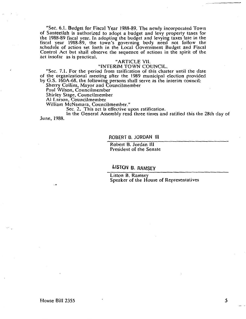"Sec. 6.1. Budget for Fiscal Year 1988-89. The newly incorporated Town of Santeetlah is authorized to adopt a budget and levy property taxes for the 1988-89 fiscal year. In adopting the budget and levying taxes late in the fiscal year 1988-89, the town's governing body need not follow the schedule of action set forth in the Local Government Budget and Fiscal Control Act but shall observe the sequence of actions in the spirit of the act insofar as is practical.

### "ARTICLE VII.

#### "INTERIM TOWN COUNCIL.

"Sec. 7.1. For the period from ratification of this charter until the date of the organizational meeting after the 1989 municipal election provided by G.S. 160A-68, the following persons shall serve as the interim council:

Sherry Collins, Mayor and Councilmember

Paul Wilson, Councilmember

Shirley Stage, Councilmember

Al Larson, Councilmember

William McNamara, Councilmember."

Sec. 2. This act is effective upon ratification.

In the General Assembly read three times and ratified this the 28th day of June, 1988.

#### ROBERT B. JORDAN Ill

Robert B. Jordan Ill President of the Senate

llSTQN B. RAMSEY

Liston B. Ramsey Speaker of the House of Representatives

...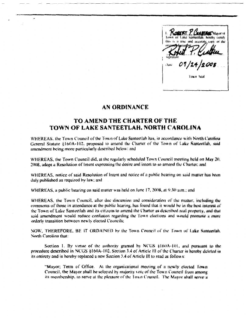**ORERT Y. L'ARBIREE** Mayor et hereby centi or due علقة lown deal

## AN ORDINANCE

٠

# TO AMEND THE CHARTER OF THE TOWN OF LAKE SANTEETLAH, NORTH CAROLINA

WHEREAS, the Town Council of the Town of Lake Sameetlah has, in accordance with North Carolina General Statute §160A-102, proposed to amend the Charter of the Town of Lake Santeetlah, said amendment being more particularly described below: and

WHEREAS, the Town Council did, at the regularly scheduled Town Council meeting held on May 20. 2008, adopt a Resolution of Intent expressing the desire and intent to so amend the Charter; and

WHEREAS, notice of said Resolution of Intent and notice of a public hearing on said matter has been duly published as required by law; and

WHEREAS, a public hearing on said matter was held on June 17, 2008, at  $9:30 \mu \text{m}$ ; and

WHEREAS, the Town Council, after due discussion and consideration of the matter, including the comments of those in attendance at the public hearing, has found that it would be in the best interest of the Town of Lake Santeetlah and its citizens to amend the Charter as described real property, and that said amendment would reduce confusion regarding the Town elections and would promote a more orderly transition between newly clected Councils:

NOW, THEREFORE, BE IT ORDAINED by the Town Council of the Town of Lake Santeetlah. North Carolina that:

Section 1. By virtue of the authority granted by NCGS §160A-101, and pursuant to the procedure described in NCGS §160A-102, Section 3.4 of Article III of the Charter is hereby deleted in its entirety and is hereby replaced a new Section 3.4 of Article III to read as follows:

"Mayor; Term of Office. At the organizational meeting of a newly elected Town Council, the Mayor shall be selected by majority vote of the Town Council from among its membership, to serve at the pleasure of the Town Council. The Mayor shall serve a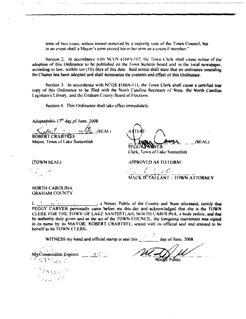term of two years, unless sooner removed by a majority vote of the Town Council, but in no event shall a Mayor's term exceed his or her term as a council member."

Section 2. In accordance with NCGS §160A-102, the Town Clerk shall cause notice of the adoption of this Ordinance to be published on the Town bulletin board and in the local newspaper, according to law, within ten (10) days of this date. Said notice shall state that an ordinance amending the Charter has been adopted and shall summarize the contents and effect of this Ordinance.

Section 3. In accordance with NCGS  $$160A-111$ , the Town Clerk shall cause a certified true copy of this Ordinance to be filed with the North Carolina Secretary of State, the North Carolina Legislative Library, and the Graham County Board of Elections.

Section 4. This Ordinance shall take effect immediately.

Adopted this 17<sup>th</sup> day of June. 2008.

entre (SEAL) ROBERT CRABTREE

Mayor, Town of Lake Santeetlah

(SEAL) PEGGYVYNOVER Clerk, Town of Lake Santeetlah

**APPROVED AS TO FORM:** 

Antonio Bo 1 km MACK D'TALLANT - TOWN ATTORNEY

#### NORTH CAROLINA GRAHAM COUNTY

(TOWN SEAL)

 $\ell_1$  . The set of the County and State aforesaid, certify that  $\mathbf{L}$ 争士 PEGGY CARVER personally came before me this day and acknowledged that she is the TOWN CLERK FOR THE TOWN OF LAKE SANTEETLAH, NORTH CAROLINA, a body politic, and that by authority duly given and as the act of the TOWN COUNCIL, the foregoing instrument was signed in its name by its MAYOR. ROBERT CRABTREE, sealed with its official seal and attested to by herself as its TOWN CLERK.

WITNESS my hand and official stamp or seal this \_\_\_\_\_\_\_\_\_\_ day of June, 2008.

 $197.$ 

Magya C ta kalendar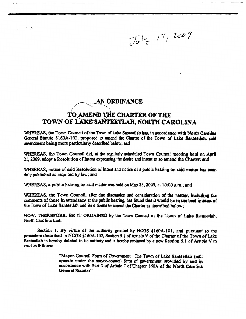$J_{U}|_{7}$  17, 2009

## **AN ORDINANCE**

 $\lambda$ 

# TO AMEND THE CHARTER OF THE TOWN OF LAKE SANTEETLAH, NORTH CAROLINA

WHEREAS, the Town Council of the Town of Lake Santeetiah has, in accordance with North Carolina General Statute §160A-102, proposed to amend the Charter of the Town of Lake Santeetlah, said amendment being more particularly described below; and

WHEREAS, the Town Council did, at the regularly scheduled Town Council meeting held on April 21, 2009, adopt a Resolution of Intent expressing the desire and intent to so amend the Charter; and

WHEREAS, notice of said Resolution of Intent and notice of a public hearing on said matter has been duly published as required by law; and

WHEREAS, a public hearing on said matter was held on May 23, 2009, at 10:00 a.m.; and

WHEREAS, the Town Council, after due discussion and consideration of the matter, including the comments of those in attendance at the public hearing, has found that it would be in the best interest of the Town of Lake Santeetlah and its citizens to amend the Charter as described below;

NOW, THEREFORE, BE IT ORDAINED by the Town Council of the Town of Lake Santeetiah, North Carolina that:

Section 1. By virtue of the authority granted by NCGS  $§160A-101$ , and pursuant to the procedure described in NCGS §160A-102, Section 5.1 of Article V of the Charter of the Town of Lake Santeetlah is hereby deleted in its entirety and is hereby replaced by a new Section 5.1 of Article V to read as follows:

> "Mayor-Council Form of Government. The Town of Lake Santeetiah shall operate under the mayor-council form of government provided by and in accordance with Part 3 of Article 7 of Chapter 160A of the North Carolina General Statutes"

> > ۸.